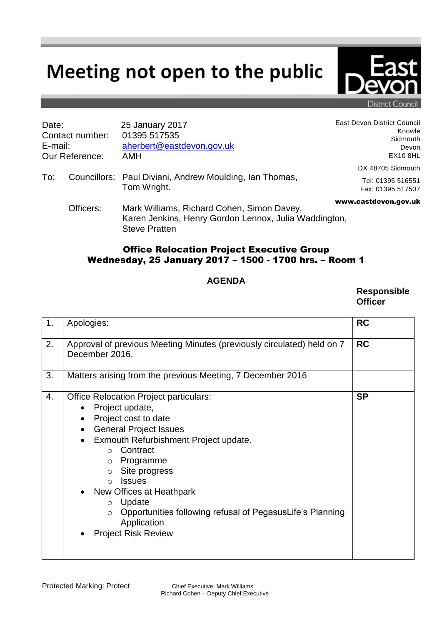## Meeting not open to the public



District Council

| Date:<br>Contact number:<br>E-mail:<br><b>Our Reference:</b> |           | 25 January 2017<br>01395 517535<br>aherbert@eastdevon.gov.uk<br><b>AMH</b>                                                  | <b>East Devon District Council</b><br>Knowle<br>Sidmouth<br>Devon<br><b>EX10 8HL</b> |
|--------------------------------------------------------------|-----------|-----------------------------------------------------------------------------------------------------------------------------|--------------------------------------------------------------------------------------|
| To:                                                          |           | Councillors: Paul Diviani, Andrew Moulding, Ian Thomas,<br>Tom Wright.                                                      | DX 48705 Sidmouth<br>Tel: 01395 516551<br>Fax: 01395 517507                          |
|                                                              | Officers: | Mark Williams, Richard Cohen, Simon Davey,<br>Karen Jenkins, Henry Gordon Lennox, Julia Waddington,<br><b>Steve Pratten</b> | www.eastdevon.gov.uk                                                                 |

## Office Relocation Project Executive Group Wednesday, 25 January 2017 – 1500 - 1700 hrs. – Room 1

## **AGENDA**

**Responsible Officer**

| 1. | Apologies:                                                                                                                                                                                                                                                                                                                                                                                                                                                                                | <b>RC</b> |
|----|-------------------------------------------------------------------------------------------------------------------------------------------------------------------------------------------------------------------------------------------------------------------------------------------------------------------------------------------------------------------------------------------------------------------------------------------------------------------------------------------|-----------|
| 2. | Approval of previous Meeting Minutes (previously circulated) held on 7<br>December 2016.                                                                                                                                                                                                                                                                                                                                                                                                  | <b>RC</b> |
| 3. | Matters arising from the previous Meeting, 7 December 2016                                                                                                                                                                                                                                                                                                                                                                                                                                |           |
| 4. | <b>Office Relocation Project particulars:</b><br>Project update,<br>$\bullet$<br>Project cost to date<br>$\bullet$<br><b>General Project Issues</b><br>$\bullet$<br>Exmouth Refurbishment Project update.<br>Contract<br>$\Omega$<br>Programme<br>$\circ$<br>Site progress<br>$\circ$<br><b>Issues</b><br>$\bigcap$<br>New Offices at Heathpark<br>Update<br>$\circ$<br>Opportunities following refusal of PegasusLife's Planning<br>$\circ$<br>Application<br><b>Project Risk Review</b> | <b>SP</b> |